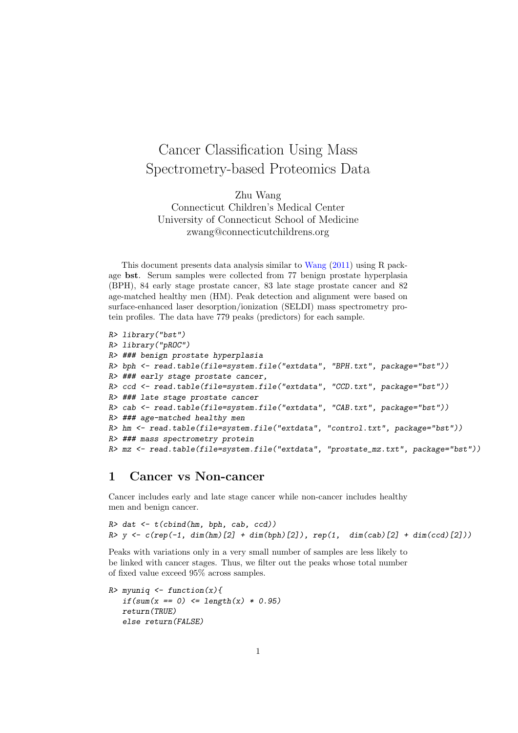# Cancer Classification Using Mass Spectrometry-based Proteomics Data

Zhu Wang Connecticut Children's Medical Center University of Connecticut School of Medicine zwang@connecticutchildrens.org

This document presents data analysis similar to [Wang](#page-5-0) [\(2011\)](#page-5-0) using R package bst. Serum samples were collected from 77 benign prostate hyperplasia (BPH), 84 early stage prostate cancer, 83 late stage prostate cancer and 82 age-matched healthy men (HM). Peak detection and alignment were based on surface-enhanced laser desorption/ionization (SELDI) mass spectrometry protein profiles. The data have 779 peaks (predictors) for each sample.

```
R> library("bst")
R> library("pROC")
R> ### benign prostate hyperplasia
R> bph <- read.table(file=system.file("extdata", "BPH.txt", package="bst"))
R> ### early stage prostate cancer,
R> ccd <- read.table(file=system.file("extdata", "CCD.txt", package="bst"))
R> ### late stage prostate cancer
R> cab <- read.table(file=system.file("extdata", "CAB.txt", package="bst"))
R> ### age-matched healthy men
R> hm <- read.table(file=system.file("extdata", "control.txt", package="bst"))
R> ### mass spectrometry protein
R> mz <- read.table(file=system.file("extdata", "prostate_mz.txt", package="bst"))
```
## 1 Cancer vs Non-cancer

Cancer includes early and late stage cancer while non-cancer includes healthy men and benign cancer.

```
R> dat \leftarrow t(cbind(hm, bph, cab, ccd))
R> y <- c(rep(-1, dim(hm)[2] + dim(bph)[2]), rep(1, dim(cab)[2] + dim(ccd)[2]))
```
Peaks with variations only in a very small number of samples are less likely to be linked with cancer stages. Thus, we filter out the peaks whose total number of fixed value exceed 95% across samples.

```
R> myuniq <- function(x){
   if(sum(x == 0) \le length(x) * 0.95)return(TRUE)
   else return(FALSE)
```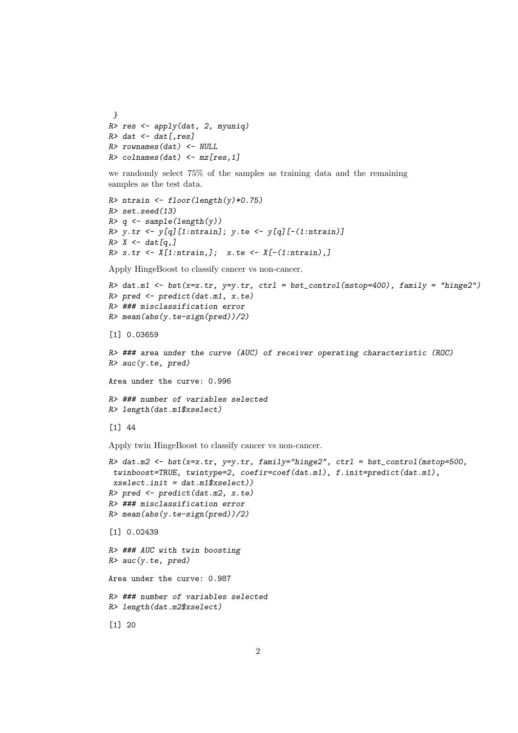```
}
R> res <- apply(dat, 2, myuniq)
R> dat <- dat[, res]
R> rownames(dat) <- NULL
R> colnames(dat) <- mz[res,1]
```
we randomly select 75% of the samples as training data and the remaining samples as the test data.

```
R> ntrain <- floor(length(y)*0.75)
R> set.seed(13)
R> q \leftarrow sample(length(y))R> y.tr <- y[q][1:ntrain]; y.te <- y[q][-(1:ntrain)]
R > X \leftarrow \text{dat}[q,]R > x.tr \leftarrow X[1:ntrain,]; x.te \leftarrow X[-(1:ntrain),]
```
Apply HingeBoost to classify cancer vs non-cancer.

```
R> dat.m1 <- bst(x=x.tr, y=y.tr, ctrl = bst_control(mstop=400), family = "hinge2")
R> pred \leq predict(dat.m1, x.te)
R> ### misclassification error
R> mean(abs(y.te-sign(pred))/2)
```

```
[1] 0.03659
```

```
R> ### area under the curve (AUC) of receiver operating characteristic (ROC)
R> auc(y.te, pred)
```
Area under the curve: 0.996

```
R> ### number of variables selected
R> length(dat.m1$xselect)
```

```
[1] 44
```
Apply twin HingeBoost to classify cancer vs non-cancer.

```
R> dat.m2 <- bst(x=x.tr, y=y.tr, family="hinge2", ctrl = bst_control(mstop=500,
twinboost=TRUE, twintype=2, coefir=coef(dat.m1), f.init=predict(dat.m1),
xselect.init = dat.m1$xselect))
R> pred <- predict(dat.m2, x.te)
R> ### misclassification error
R> mean(abs(y.te-sign(pred))/2)
[1] 0.02439
R> ### AUC with twin boosting
R> auc(y.te, pred)
Area under the curve: 0.987
R> ### number of variables selected
R> length(dat.m2$xselect)
[1] 20
```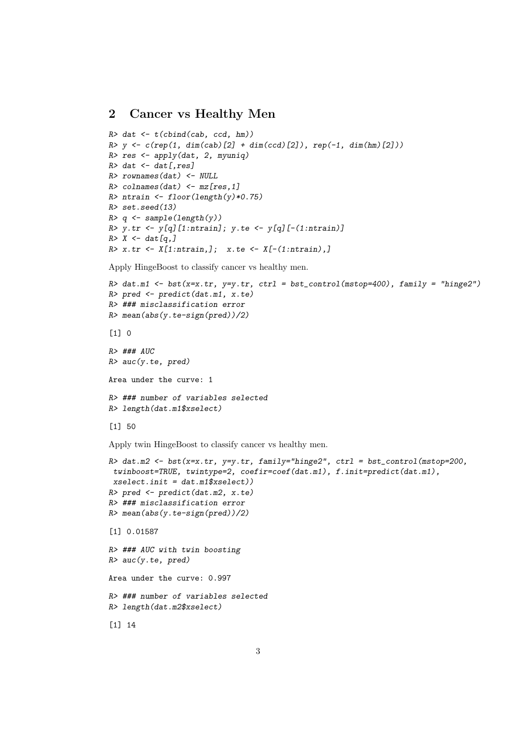#### 2 Cancer vs Healthy Men

```
R> dat \leftarrow t(cbind(cab, ccd, hm))
R> y \leftarrow c(rep(1, dim(cab)[2] + dim(ccd)[2]), rep(-1, dim(hm)[2]))R> res \leftarrow apply(dat, 2, myuniq)
R> dat <- dat[, res]
R> rownames(dat) <- NULL
R> colnames(dat) <- mz[res,1]
R> ntrain <- floor(length(y)*0.75)
R> set.seed(13)
R > q \leftarrow sample(length(y))R> y.tr <- y[q][1:ntrain]; y.te <- y[q][-(1:ntrain)]R > X \leftarrow \text{dat}[q,]R > x.tr \leftarrow X[1:ntrain,]; x-te \leftarrow X[-(1:ntrain),]
```
Apply HingeBoost to classify cancer vs healthy men.

```
R> dat.m1 <- bst(x=x.tr, y=y.tr, ctrl = bst_control(mstop=400), family = "hinge2")
R> pred \leq predict(dat.m1, x.te)
R> ### misclassification error
R> mean(abs(y.te-sign(pred))/2)
```
 $\lceil 1 \rceil$  0

 $R$ > ###  $AUC$  $R$ > auc(y.te, pred) Area under the curve: 1 R> ### number of variables selected R> length(dat.m1\$xselect)

```
[1] 50
```
Apply twin HingeBoost to classify cancer vs healthy men.

```
R> dat.m2 <- bst(x=x.tr, y=y.tr, family="hinge2", ctrl = bst_control(mstop=200,
twinboost=TRUE, twintype=2, coefir=coef(dat.m1), f.init=predict(dat.m1),
xselect.init = dat.m1$xselect))
R> pred <- predict(dat.m2, x.te)
R> ### misclassification error
R> mean(abs(y.te-sign(pred))/2)
[1] 0.01587
R> ### AUC with twin boosting
R> auc(y.te, pred)
Area under the curve: 0.997
R> ### number of variables selected
R> length(dat.m2$xselect)
[1] 14
```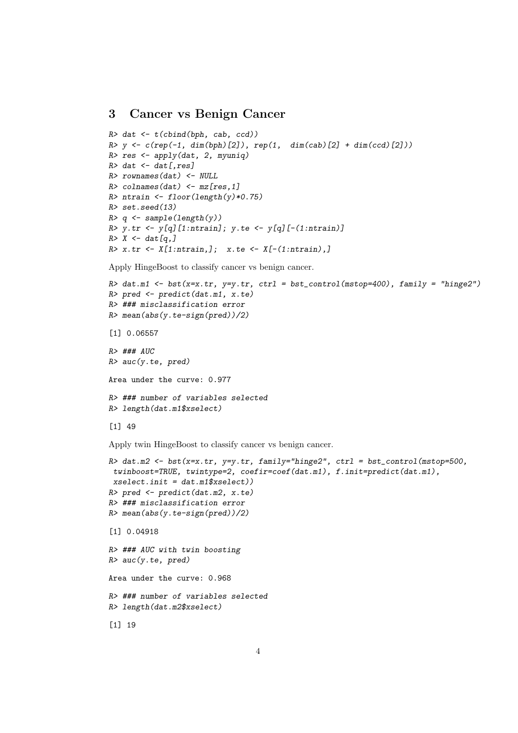#### 3 Cancer vs Benign Cancer

```
R> dat \leftarrow t(cbind(bph, cab, ccd))
R> y \leftarrow c(rep(-1, dim(bph)[2]), rep(1, dim(cab)[2] + dim(ccd)[2]))R> res <- apply(dat, 2, myuniq)
R> dat <- dat[, res]
R> rownames(dat) <- NULL
R> colnames(dat) <- mz[res,1]
R> ntrain <- floor(length(y)*0.75)
R> set.seed(13)
R > q \leftarrow sample(length(y))R> y.tr <- y[q][1:ntrain]; y.te <- y[q][-(1:ntrain)]R > X \leftarrow \text{dat}[q,]R > x.tr \leftarrow X[1:ntrain,]; x-te \leftarrow X[-(1:ntrain),]
```
Apply HingeBoost to classify cancer vs benign cancer.

```
R> dat.m1 <- bst(x=x.tr, y=y.tr, ctrl = bst_control(mstop=400), family = "hinge2")
R> pred \leq predict(dat.m1, x.te)
R> ### misclassification error
R> mean(abs(y.te-sign(pred))/2)
[1] 0.06557
R> ### AUC
R> auc(y.te, pred)
```
Area under the curve: 0.977

```
R> ### number of variables selected
R> length(dat.m1$xselect)
```

```
[1] 49
```
Apply twin HingeBoost to classify cancer vs benign cancer.

```
R> dat.m2 <- bst(x=x.tr, y=y.tr, family="hinge2", ctrl = bst_control(mstop=500,
twinboost=TRUE, twintype=2, coefir=coef(dat.m1), f.init=predict(dat.m1),
xselect.init = dat.m1$xselect))
R> pred <- predict(dat.m2, x.te)
R> ### misclassification error
R> mean(abs(y.te-sign(pred))/2)
[1] 0.04918
R> ### AUC with twin boosting
R> auc(y.te, pred)
Area under the curve: 0.968
R> ### number of variables selected
R> length(dat.m2$xselect)
[1] 19
```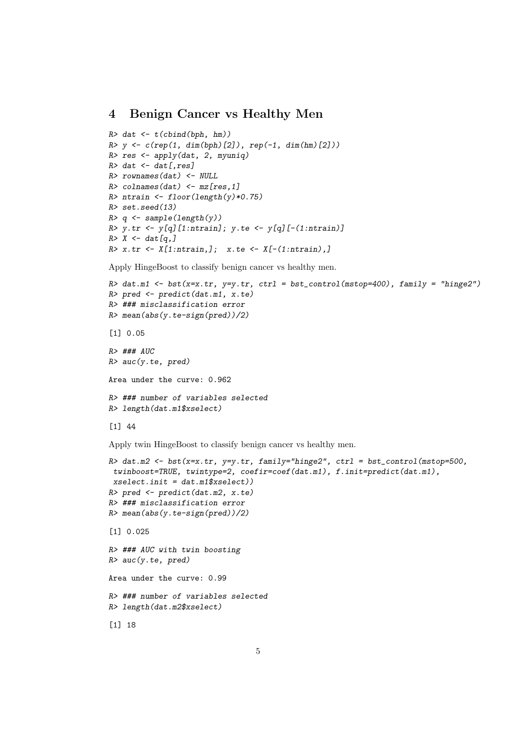## 4 Benign Cancer vs Healthy Men

```
R> dat \leftarrow t(cbind(bph, hm))
R > y \leftarrow c(rep(1, dim(bph)[2]), rep(-1, dim(hm)[2]))R> res <- apply(dat, 2, myuniq)
R> dat <- dat[, res]
R> rownames(dat) <- NULL
R> colnames(dat) <- mz[res,1]
R> ntrain <- floor(length(y)*0.75)
R> set.seed(13)
R > q \leftarrow sample(length(y))R> y.tr <- y[q][1:ntrain]; y.te <- y[q][-(1:ntrain)]R > X \leftarrow \text{dat}[q,]R > x.tr \leftarrow X[1:ntrain,]; x-te \leftarrow X[-(1:ntrain),]
```
Apply HingeBoost to classify benign cancer vs healthy men.

```
R> dat.m1 <- bst(x=x.tr, y=y.tr, ctrl = bst_control(mstop=400), family = "hinge2")
R> pred \leq predict(dat.m1, x.te)
R> ### misclassification error
R> mean(abs(y.te-sign(pred))/2)
[1] 0.05
```
R> ### AUC  $R$ > auc(y.te, pred) Area under the curve: 0.962 R> ### number of variables selected R> length(dat.m1\$xselect)

```
[1] 44
```
Apply twin HingeBoost to classify benign cancer vs healthy men.

```
R> dat.m2 <- bst(x=x.tr, y=y.tr, family="hinge2", ctrl = bst_control(mstop=500,
twinboost=TRUE, twintype=2, coefir=coef(dat.m1), f.init=predict(dat.m1),
xselect.init = dat.m1$xselect))
R> pred <- predict(dat.m2, x.te)
R> ### misclassification error
R> mean(abs(y.te-sign(pred))/2)
[1] 0.025
R> ### AUC with twin boosting
R> auc(y.te, pred)
Area under the curve: 0.99
R> ### number of variables selected
R> length(dat.m2$xselect)
[1] 18
```